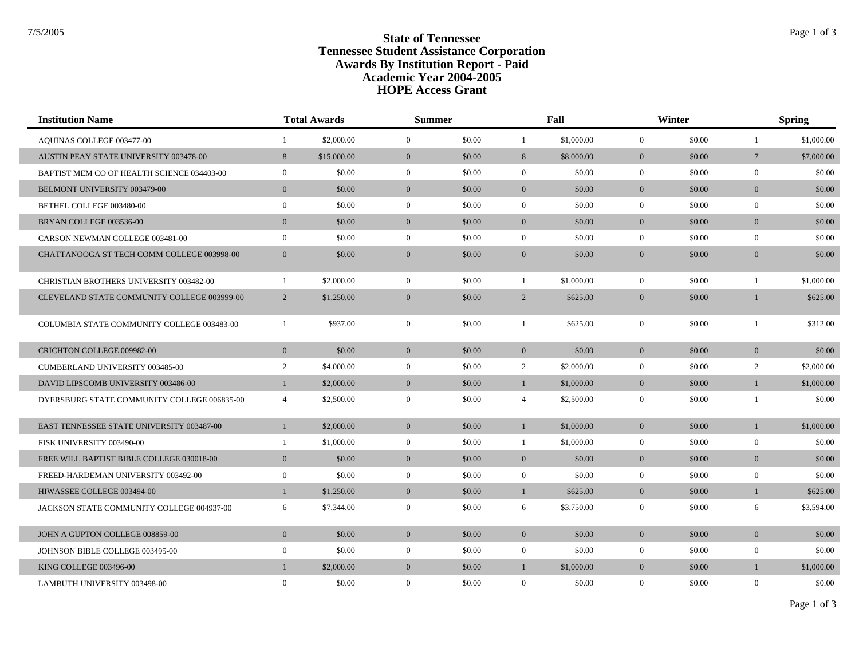## **State of Tennessee** State of Tennessee **Tennessee Student Assistance Corporation Awards By Institution Report - Paid HOPE Access Grant Academic Year 2004-2005**

| <b>Institution Name</b>                     | <b>Total Awards</b> |             | <b>Summer</b>  |        | Fall           |            | Winter         |        | <b>Spring</b>   |            |
|---------------------------------------------|---------------------|-------------|----------------|--------|----------------|------------|----------------|--------|-----------------|------------|
| AQUINAS COLLEGE 003477-00                   | -1                  | \$2,000.00  | $\overline{0}$ | \$0.00 | $\mathbf{1}$   | \$1,000.00 | $\overline{0}$ | \$0.00 | $\mathbf{1}$    | \$1,000.00 |
| AUSTIN PEAY STATE UNIVERSITY 003478-00      | 8                   | \$15,000.00 | $\mathbf{0}$   | \$0.00 | 8              | \$8,000.00 | $\overline{0}$ | \$0.00 | $7\phantom{.0}$ | \$7,000.00 |
| BAPTIST MEM CO OF HEALTH SCIENCE 034403-00  | $\overline{0}$      | \$0.00      | $\mathbf{0}$   | \$0.00 | $\overline{0}$ | \$0.00     | $\overline{0}$ | \$0.00 | $\mathbf{0}$    | \$0.00     |
| <b>BELMONT UNIVERSITY 003479-00</b>         | $\overline{0}$      | \$0.00      | $\overline{0}$ | \$0.00 | $\overline{0}$ | \$0.00     | $\overline{0}$ | \$0.00 | $\overline{0}$  | \$0.00     |
| BETHEL COLLEGE 003480-00                    | $\boldsymbol{0}$    | \$0.00      | $\mathbf{0}$   | \$0.00 | $\mathbf{0}$   | \$0.00     | $\overline{0}$ | \$0.00 | $\mathbf{0}$    | \$0.00     |
| BRYAN COLLEGE 003536-00                     | $\mathbf{0}$        | \$0.00      | $\mathbf{0}$   | \$0.00 | $\overline{0}$ | \$0.00     | $\overline{0}$ | \$0.00 | $\overline{0}$  | \$0.00     |
| CARSON NEWMAN COLLEGE 003481-00             | $\overline{0}$      | \$0.00      | $\mathbf{0}$   | \$0.00 | $\overline{0}$ | \$0.00     | $\Omega$       | \$0.00 | $\overline{0}$  | \$0.00     |
| CHATTANOOGA ST TECH COMM COLLEGE 003998-00  | $\mathbf{0}$        | \$0.00      | $\mathbf{0}$   | \$0.00 | $\overline{0}$ | \$0.00     | $\overline{0}$ | \$0.00 | $\overline{0}$  | \$0.00     |
| CHRISTIAN BROTHERS UNIVERSITY 003482-00     | $\mathbf{1}$        | \$2,000.00  | $\mathbf{0}$   | \$0.00 | $\mathbf{1}$   | \$1,000.00 | $\overline{0}$ | \$0.00 | $\mathbf{1}$    | \$1,000.00 |
| CLEVELAND STATE COMMUNITY COLLEGE 003999-00 | 2                   | \$1,250.00  | $\mathbf{0}$   | \$0.00 | $\overline{2}$ | \$625.00   | $\overline{0}$ | \$0.00 | $\mathbf{1}$    | \$625.00   |
| COLUMBIA STATE COMMUNITY COLLEGE 003483-00  | $\mathbf{1}$        | \$937.00    | $\mathbf{0}$   | \$0.00 | $\mathbf{1}$   | \$625.00   | $\overline{0}$ | \$0.00 | $\overline{1}$  | \$312.00   |
| CRICHTON COLLEGE 009982-00                  | $\mathbf{0}$        | \$0.00      | $\mathbf{0}$   | \$0.00 | $\overline{0}$ | \$0.00     | $\overline{0}$ | \$0.00 | $\overline{0}$  | \$0.00     |
| <b>CUMBERLAND UNIVERSITY 003485-00</b>      | $\overline{2}$      | \$4,000.00  | $\mathbf{0}$   | \$0.00 | $\overline{2}$ | \$2,000.00 | $\overline{0}$ | \$0.00 | 2               | \$2,000.00 |
| DAVID LIPSCOMB UNIVERSITY 003486-00         | $\mathbf{1}$        | \$2,000.00  | $\mathbf{0}$   | \$0.00 | $\mathbf{1}$   | \$1,000.00 | $\overline{0}$ | \$0.00 | $\mathbf{1}$    | \$1,000.00 |
| DYERSBURG STATE COMMUNITY COLLEGE 006835-00 | $\overline{4}$      | \$2,500.00  | $\overline{0}$ | \$0.00 | $\overline{4}$ | \$2,500.00 | $\overline{0}$ | \$0.00 | $\overline{1}$  | \$0.00     |
| EAST TENNESSEE STATE UNIVERSITY 003487-00   | $\mathbf{1}$        | \$2,000.00  | $\overline{0}$ | \$0.00 | $\mathbf{1}$   | \$1,000.00 | $\overline{0}$ | \$0.00 | $\mathbf{1}$    | \$1,000.00 |
| FISK UNIVERSITY 003490-00                   | 1                   | \$1,000.00  | $\mathbf{0}$   | \$0.00 | $\mathbf{1}$   | \$1,000.00 | $\overline{0}$ | \$0.00 | $\mathbf{0}$    | \$0.00     |
| FREE WILL BAPTIST BIBLE COLLEGE 030018-00   | $\mathbf{0}$        | \$0.00      | $\mathbf{0}$   | \$0.00 | $\overline{0}$ | \$0.00     | $\overline{0}$ | \$0.00 | $\overline{0}$  | \$0.00     |
| FREED-HARDEMAN UNIVERSITY 003492-00         | $\overline{0}$      | \$0.00      | $\mathbf{0}$   | \$0.00 | $\overline{0}$ | \$0.00     | $\overline{0}$ | \$0.00 | $\mathbf{0}$    | \$0.00     |
| HIWASSEE COLLEGE 003494-00                  | $\mathbf{1}$        | \$1,250.00  | $\mathbf{0}$   | \$0.00 | $\mathbf{1}$   | \$625.00   | $\overline{0}$ | \$0.00 | $\mathbf{1}$    | \$625.00   |
| JACKSON STATE COMMUNITY COLLEGE 004937-00   | 6                   | \$7,344.00  | $\overline{0}$ | \$0.00 | 6              | \$3,750.00 | $\overline{0}$ | \$0.00 | 6               | \$3,594.00 |
| JOHN A GUPTON COLLEGE 008859-00             | $\mathbf{0}$        | \$0.00      | $\mathbf{0}$   | \$0.00 | $\mathbf{0}$   | \$0.00     | $\overline{0}$ | \$0.00 | $\mathbf{0}$    | \$0.00     |
| JOHNSON BIBLE COLLEGE 003495-00             | $\overline{0}$      | \$0.00      | $\mathbf{0}$   | \$0.00 | $\overline{0}$ | \$0.00     | $\overline{0}$ | \$0.00 | $\mathbf{0}$    | \$0.00     |
| KING COLLEGE 003496-00                      | $\mathbf{1}$        | \$2,000.00  | $\mathbf{0}$   | \$0.00 | $\mathbf{1}$   | \$1,000.00 | $\overline{0}$ | \$0.00 | $\mathbf{1}$    | \$1,000.00 |
| LAMBUTH UNIVERSITY 003498-00                | $\overline{0}$      | \$0.00      | $\mathbf{0}$   | \$0.00 | $\mathbf{0}$   | \$0.00     | $\overline{0}$ | \$0.00 | $\mathbf{0}$    | \$0.00     |

Page 1 of 3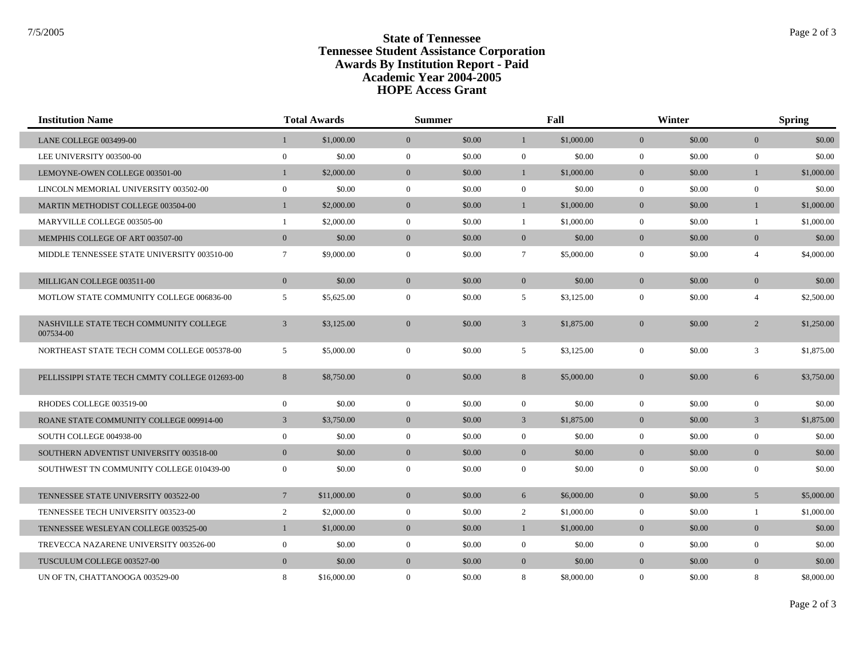Г

## **State of Tennessee** State of Tennessee **Tennessee Student Assistance Corporation Awards By Institution Report - Paid HOPE Access Grant Academic Year 2004-2005**

| <b>Institution Name</b>                             |                 | <b>Total Awards</b> | <b>Summer</b>    |        |                 | Fall       |                | Winter |                | <b>Spring</b> |  |
|-----------------------------------------------------|-----------------|---------------------|------------------|--------|-----------------|------------|----------------|--------|----------------|---------------|--|
| LANE COLLEGE 003499-00                              |                 | \$1,000.00          | $\overline{0}$   | \$0.00 | $\mathbf{1}$    | \$1,000.00 | $\mathbf{0}$   | \$0.00 | $\overline{0}$ | \$0.00        |  |
| LEE UNIVERSITY 003500-00                            | $\overline{0}$  | \$0.00              | $\mathbf{0}$     | \$0.00 | $\mathbf{0}$    | \$0.00     | $\mathbf{0}$   | \$0.00 | $\mathbf{0}$   | \$0.00        |  |
| LEMOYNE-OWEN COLLEGE 003501-00                      |                 | \$2,000.00          | $\mathbf{0}$     | \$0.00 | $\mathbf{1}$    | \$1,000.00 | $\overline{0}$ | \$0.00 | $\mathbf{1}$   | \$1,000.00    |  |
| LINCOLN MEMORIAL UNIVERSITY 003502-00               | $\overline{0}$  | \$0.00              | $\mathbf{0}$     | \$0.00 | $\overline{0}$  | \$0.00     | $\mathbf{0}$   | \$0.00 | $\mathbf{0}$   | \$0.00        |  |
| MARTIN METHODIST COLLEGE 003504-00                  | $\mathbf{1}$    | \$2,000.00          | $\mathbf{0}$     | \$0.00 | $\mathbf{1}$    | \$1,000.00 | $\mathbf{0}$   | \$0.00 | $\mathbf{1}$   | \$1,000.00    |  |
| MARYVILLE COLLEGE 003505-00                         | $\mathbf{1}$    | \$2,000.00          | $\mathbf{0}$     | \$0.00 | 1               | \$1,000.00 | $\overline{0}$ | \$0.00 | $\mathbf{1}$   | \$1,000.00    |  |
| MEMPHIS COLLEGE OF ART 003507-00                    | $\mathbf{0}$    | \$0.00              | $\mathbf{0}$     | \$0.00 | $\overline{0}$  | \$0.00     | $\mathbf{0}$   | \$0.00 | $\overline{0}$ | \$0.00        |  |
| MIDDLE TENNESSEE STATE UNIVERSITY 003510-00         | $7\overline{ }$ | \$9,000.00          | $\boldsymbol{0}$ | \$0.00 | $7\phantom{.0}$ | \$5,000.00 | $\mathbf{0}$   | \$0.00 | $\overline{4}$ | \$4,000.00    |  |
| MILLIGAN COLLEGE 003511-00                          | $\overline{0}$  | \$0.00              | $\mathbf{0}$     | \$0.00 | $\overline{0}$  | \$0.00     | $\overline{0}$ | \$0.00 | $\mathbf{0}$   | \$0.00        |  |
| MOTLOW STATE COMMUNITY COLLEGE 006836-00            | 5               | \$5,625.00          | $\boldsymbol{0}$ | \$0.00 | 5               | \$3,125.00 | $\mathbf{0}$   | \$0.00 | $\overline{4}$ | \$2,500.00    |  |
| NASHVILLE STATE TECH COMMUNITY COLLEGE<br>007534-00 | $\overline{3}$  | \$3,125.00          | $\mathbf{0}$     | \$0.00 | $\mathfrak{Z}$  | \$1,875.00 | $\mathbf{0}$   | \$0.00 | $\overline{2}$ | \$1,250.00    |  |
| NORTHEAST STATE TECH COMM COLLEGE 005378-00         | 5               | \$5,000.00          | $\mathbf{0}$     | \$0.00 | 5               | \$3,125.00 | $\mathbf{0}$   | \$0.00 | 3              | \$1,875.00    |  |
| PELLISSIPPI STATE TECH CMMTY COLLEGE 012693-00      | 8               | \$8,750.00          | $\overline{0}$   | \$0.00 | 8               | \$5,000.00 | $\overline{0}$ | \$0.00 | 6              | \$3,750,00    |  |
| RHODES COLLEGE 003519-00                            | $\mathbf{0}$    | \$0.00              | $\mathbf{0}$     | \$0.00 | $\overline{0}$  | \$0.00     | $\overline{0}$ | \$0.00 | $\mathbf{0}$   | \$0.00        |  |
| ROANE STATE COMMUNITY COLLEGE 009914-00             | 3               | \$3,750.00          | $\mathbf{0}$     | \$0.00 | $\mathfrak{Z}$  | \$1,875.00 | $\overline{0}$ | \$0.00 | $\overline{3}$ | \$1,875.00    |  |
| SOUTH COLLEGE 004938-00                             | $\mathbf{0}$    | \$0.00              | $\boldsymbol{0}$ | \$0.00 | $\overline{0}$  | \$0.00     | $\mathbf{0}$   | \$0.00 | $\mathbf{0}$   | \$0.00        |  |
| SOUTHERN ADVENTIST UNIVERSITY 003518-00             | $\overline{0}$  | \$0.00              | $\overline{0}$   | \$0.00 | $\overline{0}$  | \$0.00     | $\overline{0}$ | \$0.00 | $\overline{0}$ | \$0.00        |  |
| SOUTHWEST TN COMMUNITY COLLEGE 010439-00            | $\mathbf{0}$    | \$0.00              | $\boldsymbol{0}$ | \$0.00 | $\overline{0}$  | \$0.00     | $\mathbf{0}$   | \$0.00 | $\mathbf{0}$   | \$0.00        |  |
| TENNESSEE STATE UNIVERSITY 003522-00                | $7\overline{ }$ | \$11,000.00         | $\mathbf{0}$     | \$0.00 | 6               | \$6,000.00 | $\overline{0}$ | \$0.00 | 5 <sup>5</sup> | \$5,000.00    |  |
| TENNESSEE TECH UNIVERSITY 003523-00                 | $\overline{2}$  | \$2,000.00          | $\mathbf{0}$     | \$0.00 | 2               | \$1,000.00 | $\mathbf{0}$   | \$0.00 | $\mathbf{1}$   | \$1,000.00    |  |
| TENNESSEE WESLEYAN COLLEGE 003525-00                | $\mathbf{1}$    | \$1,000.00          | $\mathbf{0}$     | \$0.00 | $\mathbf{1}$    | \$1,000.00 | $\overline{0}$ | \$0.00 | $\overline{0}$ | \$0.00        |  |
| TREVECCA NAZARENE UNIVERSITY 003526-00              | $\mathbf{0}$    | \$0.00              | $\mathbf{0}$     | \$0.00 | $\overline{0}$  | \$0.00     | $\mathbf{0}$   | \$0.00 | $\mathbf{0}$   | \$0.00        |  |
| TUSCULUM COLLEGE 003527-00                          | $\overline{0}$  | \$0.00              | $\overline{0}$   | \$0.00 | $\overline{0}$  | \$0.00     | $\mathbf{0}$   | \$0.00 | $\overline{0}$ | \$0.00        |  |
| UN OF TN, CHATTANOOGA 003529-00                     | 8               | \$16,000.00         | $\mathbf{0}$     | \$0.00 | 8               | \$8,000.00 | $\overline{0}$ | \$0.00 | 8              | \$8,000.00    |  |